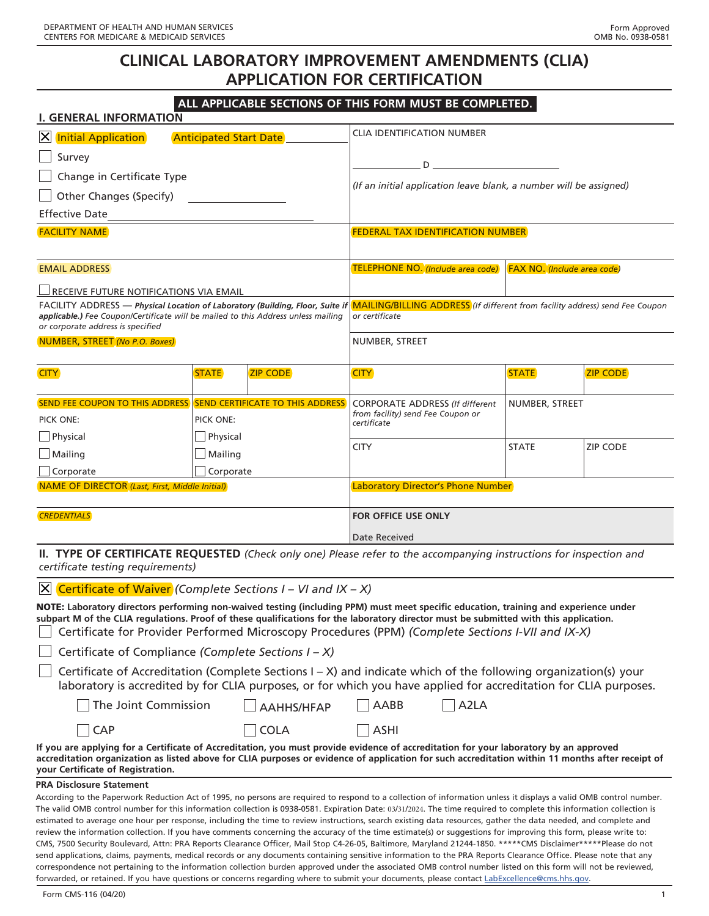# **CLINICAL LABORATORY IMPROVEMENT AMENDMENTS (CLIA) APPLICATION FOR CERTIFICATION**

## **ALL APPLICABLE SECTIONS OF THIS FORM MUST BE COMPLETED.**

| <b>I. GENERAL INFORMATION</b>                                                                                          |                               |                 |                                                                                                                                                                              |                |                                    |
|------------------------------------------------------------------------------------------------------------------------|-------------------------------|-----------------|------------------------------------------------------------------------------------------------------------------------------------------------------------------------------|----------------|------------------------------------|
| X Initial Application                                                                                                  | <b>Anticipated Start Date</b> |                 | <b>CLIA IDENTIFICATION NUMBER</b>                                                                                                                                            |                |                                    |
| Survey                                                                                                                 |                               |                 | $D \sim 1$                                                                                                                                                                   |                |                                    |
| Change in Certificate Type                                                                                             |                               |                 |                                                                                                                                                                              |                |                                    |
| Other Changes (Specify)                                                                                                |                               |                 | (If an initial application leave blank, a number will be assigned)                                                                                                           |                |                                    |
| <b>Effective Date</b>                                                                                                  |                               |                 |                                                                                                                                                                              |                |                                    |
| <b>FACILITY NAME</b>                                                                                                   |                               |                 | <b>FEDERAL TAX IDENTIFICATION NUMBER</b>                                                                                                                                     |                |                                    |
| <b>EMAIL ADDRESS</b>                                                                                                   |                               |                 | TELEPHONE NO. (Include area code)                                                                                                                                            |                | <b>FAX NO.</b> (Include area code) |
| $\Box$ receive future notifications via email                                                                          |                               |                 |                                                                                                                                                                              |                |                                    |
| applicable.) Fee Coupon/Certificate will be mailed to this Address unless mailing<br>or corporate address is specified |                               |                 | FACILITY ADDRESS - Physical Location of Laboratory (Building, Floor, Suite if MAILING/BILLING ADDRESS (If different from facility address) send Fee Coupon<br>or certificate |                |                                    |
| NUMBER, STREET (No P.O. Boxes)                                                                                         |                               |                 | NUMBER, STREET                                                                                                                                                               |                |                                    |
| <b>CITY</b>                                                                                                            | <b>STATE</b>                  | <b>ZIP CODE</b> | <b>CITY</b>                                                                                                                                                                  | <b>STATE</b>   | <b>ZIP CODE</b>                    |
| <b>SEND FEE COUPON TO THIS ADDRESS SEND CERTIFICATE TO THIS ADDRESS</b>                                                |                               |                 | <b>CORPORATE ADDRESS (If different</b>                                                                                                                                       | NUMBER, STREET |                                    |
| PICK ONE:                                                                                                              | PICK ONE:                     |                 | from facility) send Fee Coupon or<br>certificate                                                                                                                             |                |                                    |
| $\Box$ Physical                                                                                                        | Physical                      |                 |                                                                                                                                                                              |                |                                    |
| $\Box$ Mailing                                                                                                         | Mailing                       |                 | <b>CITY</b>                                                                                                                                                                  | <b>STATE</b>   | <b>ZIP CODE</b>                    |
| $\Box$ Corporate                                                                                                       | Corporate                     |                 |                                                                                                                                                                              |                |                                    |
| <b>NAME OF DIRECTOR</b> (Last, First, Middle Initial)                                                                  |                               |                 | Laboratory Director's Phone Number                                                                                                                                           |                |                                    |
| <b>CREDENTIALS</b>                                                                                                     |                               |                 | <b>FOR OFFICE USE ONLY</b>                                                                                                                                                   |                |                                    |
|                                                                                                                        |                               |                 | Date Received                                                                                                                                                                |                |                                    |
|                                                                                                                        |                               |                 | <b>II. TYPE OF CERTIFICATE REQUESTED</b> (Check only one) Please refer to the accompanying instructions for inspection and                                                   |                |                                    |

**II. TYPE OF CERTIFICATE REQUESTED** *(Check only one) Please refer to the accompanying instructions for inspection and certificate testing requirements)*

#### Certificate of Waiver *(Complete Sections I – VI and IX – X)*

NOTE: **Laboratory directors performing non-waived testing (including PPM) must meet specific education, training and experience under subpart M of the CLIA regulations. Proof of these qualifications for the laboratory director must be submitted with this application.** Certificate for Provider Performed Microscopy Procedures (PPM) *(Complete Sections I-VII and IX-X)*

Certificate of Compliance *(Complete Sections I – X)*

Certificate of Accreditation (Complete Sections I *–* X) and indicate which of the following organization(s) your laboratory is accredited by for CLIA purposes, or for which you have applied for accreditation for CLIA purposes.

| $\Box$ A2LA<br>$\Box$ The Joint Commission<br>$\Box$ AABB<br>$\Box$ AAHHS/HFAP |  |
|--------------------------------------------------------------------------------|--|
|--------------------------------------------------------------------------------|--|

**If you are applying for a Certificate of Accreditation, you must provide evidence of accreditation for your laboratory by an approved accreditation organization as listed above for CLIA purposes or evidence of application for such accreditation within 11 months after receipt of your Certificate of Registration.**

 $\bigcap$  COLA  $\bigcap$  ASHI

#### **PRA Disclosure Statement**

According to the Paperwork Reduction Act of 1995, no persons are required to respond to a collection of information unless it displays a valid OMB control number. The valid OMB control number for this information collection is 0938-0581. Expiration Date: 03/31/2024. The time required to complete this information collection is estimated to average one hour per response, including the time to review instructions, search existing data resources, gather the data needed, and complete and review the information collection. If you have comments concerning the accuracy of the time estimate(s) or suggestions for improving this form, please write to: CMS, 7500 Security Boulevard, Attn: PRA Reports Clearance Officer, Mail Stop C4-26-05, Baltimore, Maryland 21244-1850. \*\*\*\*\*CMS Disclaimer\*\*\*\*\*Please do not send applications, claims, payments, medical records or any documents containing sensitive information to the PRA Reports Clearance Office. Please note that any correspondence not pertaining to the information collection burden approved under the associated OMB control number listed on this form will not be reviewed, forwarded, or retained. If you have questions or concerns regarding where to submit your documents, please contact [LabExcellence@cms.hhs.gov.](mailto:LabExcellence%40cms.hhs.gov?subject=)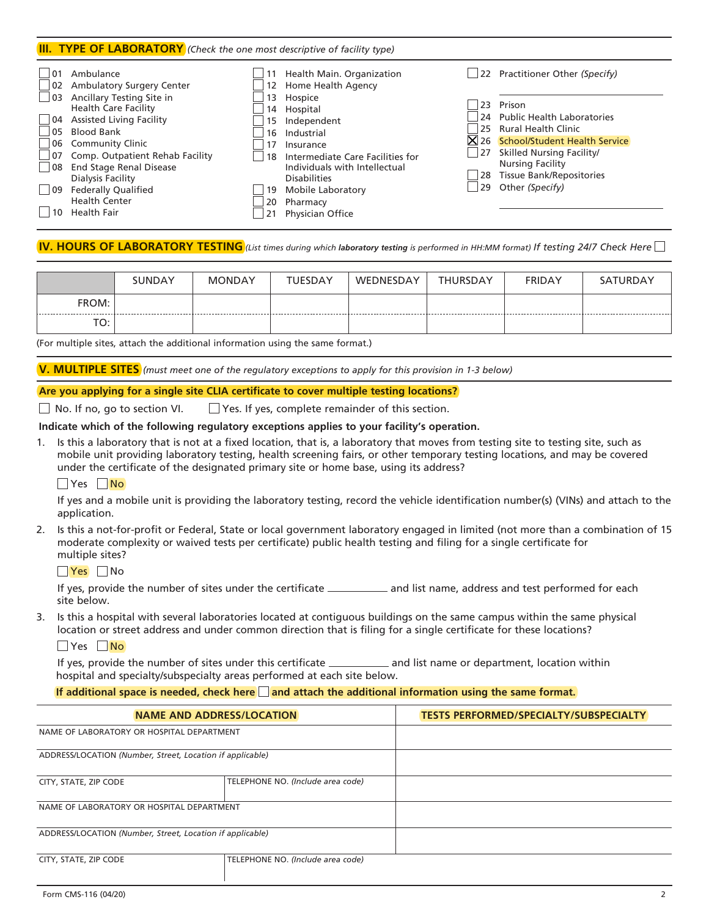#### **III. TYPE OF LABORATORY** *(Check the one most descriptive of facility type)*

| 01           | Ambulance                        |    | Health Main. Organization        |    | 22 Practitioner Other (Specify)               |
|--------------|----------------------------------|----|----------------------------------|----|-----------------------------------------------|
| $ 02\rangle$ | <b>Ambulatory Surgery Center</b> |    | 12 Home Health Agency            |    |                                               |
| 03           | Ancillary Testing Site in        | 13 | Hospice                          | 23 | Prison                                        |
|              | <b>Health Care Facility</b>      |    | 14 Hospital                      |    | 24 Public Health Laboratories                 |
| 04           | <b>Assisted Living Facility</b>  | 15 | Independent                      | 25 | <b>Rural Health Clinic</b>                    |
| 05           | <b>Blood Bank</b>                | 16 | Industrial                       |    |                                               |
|              | 06 Community Clinic              |    | Insurance                        |    | $\mathsf{X}$ 26 School/Student Health Service |
| 07           | Comp. Outpatient Rehab Facility  | 18 | Intermediate Care Facilities for | 27 | Skilled Nursing Facility/                     |
| $ 08\rangle$ | <b>End Stage Renal Disease</b>   |    | Individuals with Intellectual    |    | <b>Nursing Facility</b>                       |
|              | Dialysis Facility                |    | <b>Disabilities</b>              |    | 28 Tissue Bank/Repositories                   |
| $ 09\rangle$ | <b>Federally Qualified</b>       | 19 | Mobile Laboratory                | 29 | Other (Specify)                               |
|              | <b>Health Center</b>             | 20 | Pharmacy                         |    |                                               |
|              | <b>Health Fair</b>               |    | Physician Office                 |    |                                               |

#### **IV. HOURS OF LABORATORY TESTING** *(List times during which laboratory testing is performed in HH:MM format) If testing 24/7 Check Here*

|       | <b>SUNDAY</b> | <b>MONDAY</b> | <b>TUESDAY</b> | WEDNESDAY | <b>THURSDAY</b> | <b>FRIDAY</b> | SATURDAY |
|-------|---------------|---------------|----------------|-----------|-----------------|---------------|----------|
| FROM: |               |               |                |           |                 |               |          |
| TO:   |               |               |                |           |                 |               |          |

(For multiple sites, attach the additional information using the same format.)

**V. MULTIPLE SITES** *(must meet one of the regulatory exceptions to apply for this provision in 1-3 below)*

#### **Are you applying for a single site CLIA certificate to cover multiple testing locations?**

 $\Box$  No. If no, go to section VI.  $\Box$  Yes. If yes, complete remainder of this section.

#### **Indicate which of the following regulatory exceptions applies to your facility's operation.**

1. Is this a laboratory that is not at a fixed location, that is, a laboratory that moves from testing site to testing site, such as mobile unit providing laboratory testing, health screening fairs, or other temporary testing locations, and may be covered under the certificate of the designated primary site or home base, using its address?

#### $\Box$  Yes  $\Box$  No

If yes and a mobile unit is providing the laboratory testing, record the vehicle identification number(s) (VINs) and attach to the application.

2. Is this a not-for-profit or Federal, State or local government laboratory engaged in limited (not more than a combination of 15 moderate complexity or waived tests per certificate) public health testing and filing for a single certificate for multiple sites?

#### **Yes** No

If yes, provide the number of sites under the certificate \_\_\_\_\_\_\_\_\_\_\_\_ and list name, address and test performed for each site below.

3. Is this a hospital with several laboratories located at contiguous buildings on the same campus within the same physical location or street address and under common direction that is filing for a single certificate for these locations?

#### $\Box$  Yes  $\Box$  No

If yes, provide the number of sites under this certificate \_\_\_\_\_\_\_\_\_\_\_\_\_ and list name or department, location within hospital and specialty/subspecialty areas performed at each site below.

#### If additional space is needed, check here and attach the additional information using the same format.

| NAME AND ADDRESS/LOCATION                                 |                                   | <b>TESTS PERFORMED/SPECIALTY/SUBSPECIALTY</b> |
|-----------------------------------------------------------|-----------------------------------|-----------------------------------------------|
| NAME OF LABORATORY OR HOSPITAL DEPARTMENT                 |                                   |                                               |
| ADDRESS/LOCATION (Number, Street, Location if applicable) |                                   |                                               |
| CITY, STATE, ZIP CODE                                     | TELEPHONE NO. (Include area code) |                                               |
| NAME OF LABORATORY OR HOSPITAL DEPARTMENT                 |                                   |                                               |
| ADDRESS/LOCATION (Number, Street, Location if applicable) |                                   |                                               |
| CITY, STATE, ZIP CODE                                     | TELEPHONE NO. (Include area code) |                                               |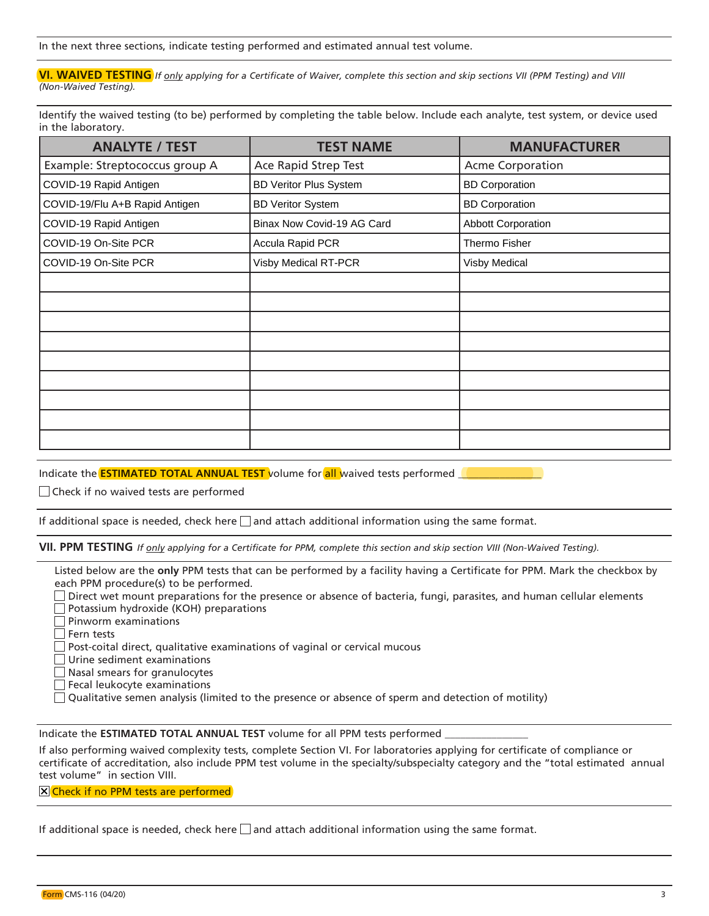In the next three sections, indicate testing performed and estimated annual test volume.

**VI. WAIVED TESTING** *If only applying for a Certificate of Waiver, complete this section and skip sections VII (PPM Testing) and VIII (Non-Waived Testing).*

Identify the waived testing (to be) performed by completing the table below. Include each analyte, test system, or device used in the laboratory.

| <b>ANALYTE / TEST</b>          | <b>TEST NAME</b>              | <b>MANUFACTURER</b>       |
|--------------------------------|-------------------------------|---------------------------|
| Example: Streptococcus group A | Ace Rapid Strep Test          | <b>Acme Corporation</b>   |
| COVID-19 Rapid Antigen         | <b>BD Veritor Plus System</b> | <b>BD Corporation</b>     |
| COVID-19/Flu A+B Rapid Antigen | <b>BD Veritor System</b>      | <b>BD Corporation</b>     |
| COVID-19 Rapid Antigen         | Binax Now Covid-19 AG Card    | <b>Abbott Corporation</b> |
| COVID-19 On-Site PCR           | Accula Rapid PCR              | Thermo Fisher             |
| COVID-19 On-Site PCR           | Visby Medical RT-PCR          | <b>Visby Medical</b>      |
|                                |                               |                           |
|                                |                               |                           |
|                                |                               |                           |
|                                |                               |                           |
|                                |                               |                           |
|                                |                               |                           |
|                                |                               |                           |
|                                |                               |                           |
|                                |                               |                           |

Indicate the **ESTIMATED TOTAL ANNUAL TEST** volume for all waived tests performed

Check if no waived tests are performed

If additional space is needed, check here  $\Box$  and attach additional information using the same format.

**VII. PPM TESTING** *If only applying for a Certificate for PPM, complete this section and skip section VIII (Non-Waived Testing).*

Listed below are the **only** PPM tests that can be performed by a facility having a Certificate for PPM. Mark the checkbox by each PPM procedure(s) to be performed.

 $\square$  Direct wet mount preparations for the presence or absence of bacteria, fungi, parasites, and human cellular elements **Potassium hydroxide (KOH) preparations** 

**Pinworm examinations** 

 $\Box$  Fern tests

 $\Box$  Post-coital direct, qualitative examinations of vaginal or cervical mucous

Urine sediment examinations

Nasal smears for granulocytes

 $\Box$  Fecal leukocyte examinations

 $\Box$  Qualitative semen analysis (limited to the presence or absence of sperm and detection of motility)

Indicate the **ESTIMATED TOTAL ANNUAL TEST** volume for all PPM tests performed \_\_\_\_\_\_\_\_\_\_\_\_\_\_\_\_

If also performing waived complexity tests, complete Section VI. For laboratories applying for certificate of compliance or certificate of accreditation, also include PPM test volume in the specialty/subspecialty category and the "total estimated annual test volume" in section VIII.

#### **X** Check if no PPM tests are performed

If additional space is needed, check here  $\Box$  and attach additional information using the same format.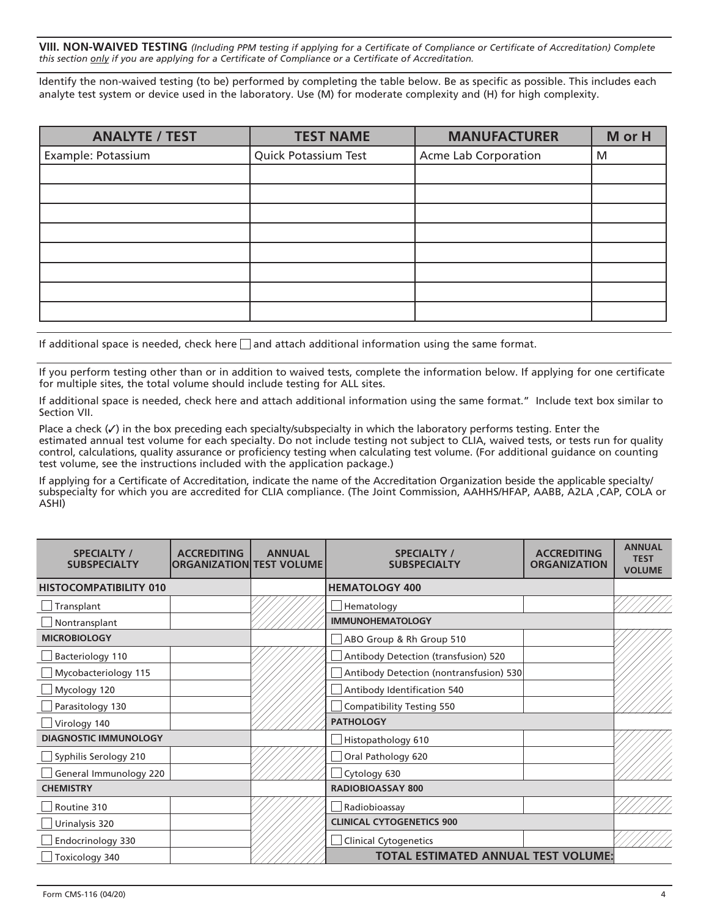**VIII. NON-WAIVED TESTING** *(Including PPM testing if applying for a Certificate of Compliance or Certificate of Accreditation) Complete this section only if you are applying for a Certificate of Compliance or a Certificate of Accreditation.*

Identify the non-waived testing (to be) performed by completing the table below. Be as specific as possible. This includes each analyte test system or device used in the laboratory. Use (M) for moderate complexity and (H) for high complexity.

| <b>ANALYTE / TEST</b> | <b>TEST NAME</b>     | <b>MANUFACTURER</b>  | M or H |
|-----------------------|----------------------|----------------------|--------|
| Example: Potassium    | Quick Potassium Test | Acme Lab Corporation | M      |
|                       |                      |                      |        |
|                       |                      |                      |        |
|                       |                      |                      |        |
|                       |                      |                      |        |
|                       |                      |                      |        |
|                       |                      |                      |        |
|                       |                      |                      |        |
|                       |                      |                      |        |

If additional space is needed, check here  $\Box$  and attach additional information using the same format.

If you perform testing other than or in addition to waived tests, complete the information below. If applying for one certificate for multiple sites, the total volume should include testing for ALL sites.

If additional space is needed, check here and attach additional information using the same format." Include text box similar to Section VII.

Place a check  $(\checkmark)$  in the box preceding each specialty/subspecialty in which the laboratory performs testing. Enter the estimated annual test volume for each specialty. Do not include testing not subject to CLIA, waived tests, or tests run for quality control, calculations, quality assurance or proficiency testing when calculating test volume. (For additional guidance on counting test volume, see the instructions included with the application package.)

If applying for a Certificate of Accreditation, indicate the name of the Accreditation Organization beside the applicable specialty/ subspecialty for which you are accredited for CLIA compliance. (The Joint Commission, AAHHS/HFAP, AABB, A2LA ,CAP, COLA or ASHI)

| <b>SPECIALTY /</b><br><b>SUBSPECIALTY</b> | <b>ACCREDITING</b><br><b>ORGANIZATION TEST VOLUME</b> | <b>ANNUAL</b> | <b>SPECIALTY /</b><br><b>SUBSPECIALTY</b>  | <b>ACCREDITING</b><br><b>ORGANIZATION</b> | <b>ANNUAL</b><br><b>TEST</b><br><b>VOLUME</b> |
|-------------------------------------------|-------------------------------------------------------|---------------|--------------------------------------------|-------------------------------------------|-----------------------------------------------|
| <b>HISTOCOMPATIBILITY 010</b>             |                                                       |               | <b>HEMATOLOGY 400</b>                      |                                           |                                               |
| Transplant                                |                                                       |               | Hematology                                 |                                           |                                               |
| Nontransplant                             |                                                       |               | <b>IMMUNOHEMATOLOGY</b>                    |                                           |                                               |
| <b>MICROBIOLOGY</b>                       |                                                       |               | ABO Group & Rh Group 510                   |                                           |                                               |
| Bacteriology 110                          |                                                       |               | Antibody Detection (transfusion) 520       |                                           |                                               |
| Mycobacteriology 115                      |                                                       |               | Antibody Detection (nontransfusion) 530    |                                           |                                               |
| Mycology 120                              |                                                       |               | Antibody Identification 540                |                                           |                                               |
| Parasitology 130                          |                                                       |               | Compatibility Testing 550                  |                                           |                                               |
| Virology 140                              |                                                       |               | <b>PATHOLOGY</b>                           |                                           |                                               |
| <b>DIAGNOSTIC IMMUNOLOGY</b>              |                                                       |               | Histopathology 610                         |                                           |                                               |
| Syphilis Serology 210                     |                                                       |               | Oral Pathology 620                         |                                           |                                               |
| General Immunology 220                    |                                                       |               | Cytology 630                               |                                           |                                               |
| <b>CHEMISTRY</b>                          |                                                       |               | <b>RADIOBIOASSAY 800</b>                   |                                           |                                               |
| Routine 310                               |                                                       |               | Radiobioassay                              |                                           |                                               |
| Urinalysis 320                            |                                                       |               | <b>CLINICAL CYTOGENETICS 900</b>           |                                           |                                               |
| Endocrinology 330                         |                                                       |               | <b>Clinical Cytogenetics</b>               |                                           |                                               |
| Toxicology 340                            |                                                       |               | <b>TOTAL ESTIMATED ANNUAL TEST VOLUME:</b> |                                           |                                               |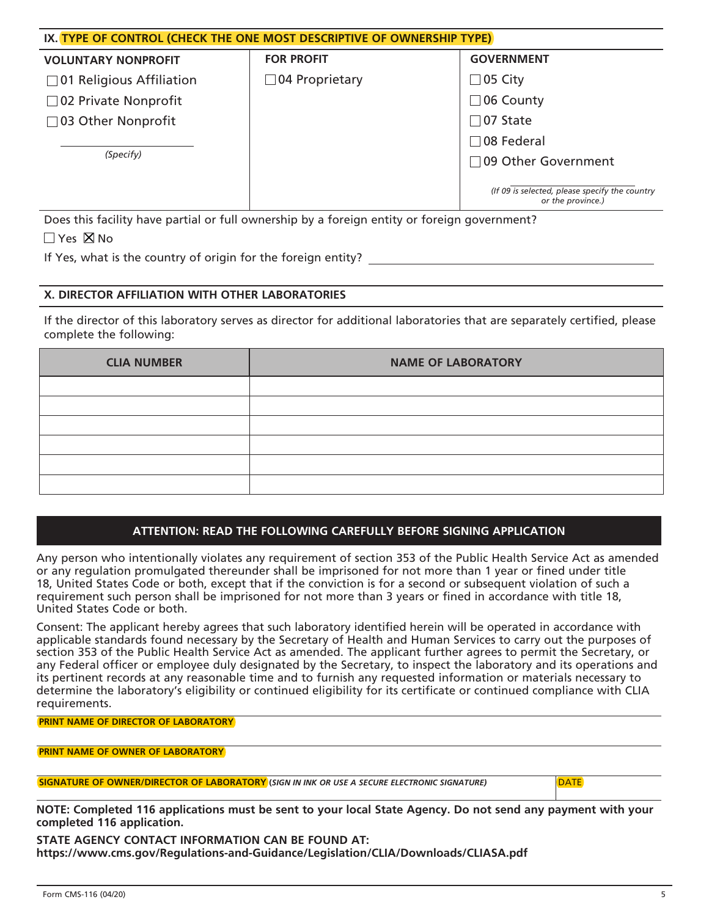| IX. TYPE OF CONTROL (CHECK THE ONE MOST DESCRIPTIVE OF OWNERSHIP TYPE) |                       |                                                                     |  |  |  |
|------------------------------------------------------------------------|-----------------------|---------------------------------------------------------------------|--|--|--|
| <b>VOLUNTARY NONPROFIT</b>                                             | <b>FOR PROFIT</b>     | <b>GOVERNMENT</b>                                                   |  |  |  |
| $\Box$ 01 Religious Affiliation                                        | $\Box$ 04 Proprietary | $\Box$ 05 City                                                      |  |  |  |
| $\Box$ 02 Private Nonprofit                                            |                       | $\Box$ 06 County                                                    |  |  |  |
| □ 03 Other Nonprofit                                                   |                       | $\Box$ 07 State                                                     |  |  |  |
|                                                                        |                       | $\Box$ 08 Federal                                                   |  |  |  |
| (Specify)                                                              |                       | □ 09 Other Government                                               |  |  |  |
|                                                                        |                       | (If 09 is selected, please specify the country<br>or the province.) |  |  |  |

Does this facility have partial or full ownership by a foreign entity or foreign government?  $\Box$  Yes  $\boxtimes$  No

If Yes, what is the country of origin for the foreign entity?

## **X. DIRECTOR AFFILIATION WITH OTHER LABORATORIES**

If the director of this laboratory serves as director for additional laboratories that are separately certified, please complete the following:

| <b>CLIA NUMBER</b> | <b>NAME OF LABORATORY</b> |
|--------------------|---------------------------|
|                    |                           |
|                    |                           |
|                    |                           |
|                    |                           |
|                    |                           |
|                    |                           |

# **ATTENTION: READ THE FOLLOWING CAREFULLY BEFORE SIGNING APPLICATION**

Any person who intentionally violates any requirement of section 353 of the Public Health Service Act as amended or any regulation promulgated thereunder shall be imprisoned for not more than 1 year or fined under title 18, United States Code or both, except that if the conviction is for a second or subsequent violation of such a requirement such person shall be imprisoned for not more than 3 years or fined in accordance with title 18, United States Code or both.

Consent: The applicant hereby agrees that such laboratory identified herein will be operated in accordance with applicable standards found necessary by the Secretary of Health and Human Services to carry out the purposes of section 353 of the Public Health Service Act as amended. The applicant further agrees to permit the Secretary, or any Federal officer or employee duly designated by the Secretary, to inspect the laboratory and its operations and its pertinent records at any reasonable time and to furnish any requested information or materials necessary to determine the laboratory's eligibility or continued eligibility for its certificate or continued compliance with CLIA requirements.

**PRINT NAME OF DIRECTOR OF LABORATORY** 

| <b>PRINT NAME OF OWNER OF LABORATORY</b> |  |
|------------------------------------------|--|
|------------------------------------------|--|

**SIGNATURE OF OWNER/DIRECTOR OF LABORATORY (***SIGN IN INK OR USE A SECURE ELECTRONIC SIGNATURE)* DATE

**NOTE: Completed 116 applications must be sent to your local State Agency. Do not send any payment with your completed 116 application.**

**STATE AGENCY CONTACT INFORMATION CAN BE FOUND AT: [https://www.cms.gov/Regulations-and-Guidance/Legislation/CLIA/Downloads/CLIASA.pdf](http://www.cms.gov/Regulations-and-Guidance/Legislation/CLIA/Downloads/CLIASA.pdf)**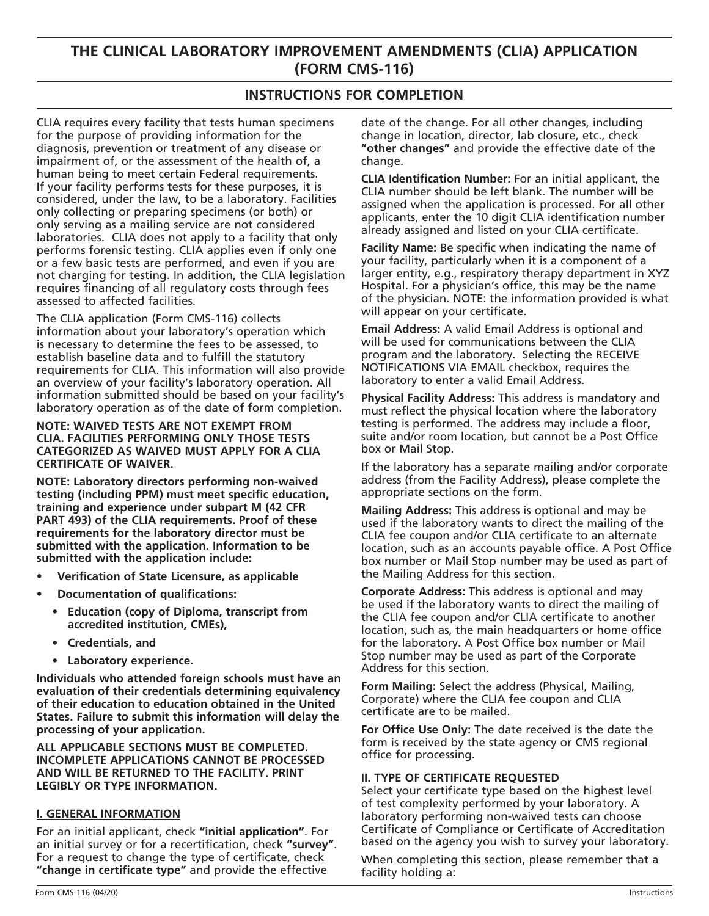# **THE CLINICAL LABORATORY IMPROVEMENT AMENDMENTS (CLIA) APPLICATION (FORM CMS-116)**

# **INSTRUCTIONS FOR COMPLETION**

CLIA requires every facility that tests human specimens for the purpose of providing information for the diagnosis, prevention or treatment of any disease or impairment of, or the assessment of the health of, a human being to meet certain Federal requirements. If your facility performs tests for these purposes, it is considered, under the law, to be a laboratory. Facilities only collecting or preparing specimens (or both) or only serving as a mailing service are not considered laboratories. CLIA does not apply to a facility that only performs forensic testing. CLIA applies even if only one or a few basic tests are performed, and even if you are not charging for testing. In addition, the CLIA legislation requires financing of all regulatory costs through fees assessed to affected facilities.

The CLIA application (Form CMS-116) collects information about your laboratory's operation which is necessary to determine the fees to be assessed, to establish baseline data and to fulfill the statutory requirements for CLIA. This information will also provide an overview of your facility's laboratory operation. All information submitted should be based on your facility's laboratory operation as of the date of form completion.

#### **NOTE: WAIVED TESTS ARE NOT EXEMPT FROM CLIA. FACILITIES PERFORMING ONLY THOSE TESTS CATEGORIZED AS WAIVED MUST APPLY FOR A CLIA CERTIFICATE OF WAIVER.**

**NOTE: Laboratory directors performing non-waived testing (including PPM) must meet specific education, training and experience under subpart M (42 CFR PART 493) of the CLIA requirements. Proof of these requirements for the laboratory director must be submitted with the application. Information to be submitted with the application include:**

- **• Verification of State Licensure, as applicable**
- **• Documentation of qualifications:**
	- **• Education (copy of Diploma, transcript from accredited institution, CMEs),**
	- **• Credentials, and**
	- **• Laboratory experience.**

**Individuals who attended foreign schools must have an evaluation of their credentials determining equivalency of their education to education obtained in the United States. Failure to submit this information will delay the processing of your application.** 

**ALL APPLICABLE SECTIONS MUST BE COMPLETED. INCOMPLETE APPLICATIONS CANNOT BE PROCESSED AND WILL BE RETURNED TO THE FACILITY. PRINT LEGIBLY OR TYPE INFORMATION.**

## **I. GENERAL INFORMATION**

For an initial applicant, check **"initial application"**. For an initial survey or for a recertification, check **"survey"**. For a request to change the type of certificate, check **"change in certificate type"** and provide the effective

date of the change. For all other changes, including change in location, director, lab closure, etc., check **"other changes"** and provide the effective date of the change.

**CLIA Identification Number:** For an initial applicant, the CLIA number should be left blank. The number will be assigned when the application is processed. For all other applicants, enter the 10 digit CLIA identification number already assigned and listed on your CLIA certificate.

**Facility Name:** Be specific when indicating the name of your facility, particularly when it is a component of a larger entity, e.g., respiratory therapy department in XYZ Hospital. For a physician's office, this may be the name of the physician. NOTE: the information provided is what will appear on your certificate.

**Email Address:** A valid Email Address is optional and will be used for communications between the CLIA program and the laboratory. Selecting the RECEIVE NOTIFICATIONS VIA EMAIL checkbox, requires the laboratory to enter a valid Email Address.

**Physical Facility Address:** This address is mandatory and must reflect the physical location where the laboratory testing is performed. The address may include a floor, suite and/or room location, but cannot be a Post Office box or Mail Stop.

If the laboratory has a separate mailing and/or corporate address (from the Facility Address), please complete the appropriate sections on the form.

**Mailing Address:** This address is optional and may be used if the laboratory wants to direct the mailing of the CLIA fee coupon and/or CLIA certificate to an alternate location, such as an accounts payable office. A Post Office box number or Mail Stop number may be used as part of the Mailing Address for this section.

**Corporate Address:** This address is optional and may be used if the laboratory wants to direct the mailing of the CLIA fee coupon and/or CLIA certificate to another location, such as, the main headquarters or home office for the laboratory. A Post Office box number or Mail Stop number may be used as part of the Corporate Address for this section.

**Form Mailing:** Select the address (Physical, Mailing, Corporate) where the CLIA fee coupon and CLIA certificate are to be mailed.

**For Office Use Only:** The date received is the date the form is received by the state agency or CMS regional office for processing.

## **II. TYPE OF CERTIFICATE REQUESTED**

Select your certificate type based on the highest level of test complexity performed by your laboratory. A laboratory performing non-waived tests can choose Certificate of Compliance or Certificate of Accreditation based on the agency you wish to survey your laboratory.

When completing this section, please remember that a facility holding a: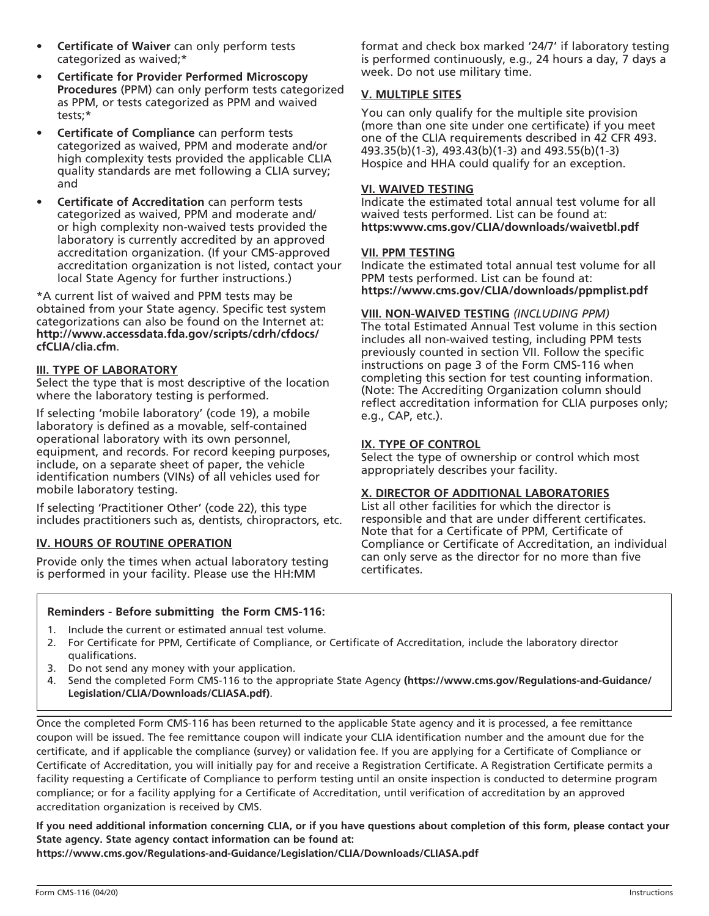- **Certificate of Waiver** can only perform tests categorized as waived;\*
- **• Certificate for Provider Performed Microscopy Procedures** (PPM) can only perform tests categorized as PPM, or tests categorized as PPM and waived tests;\*
- **• Certificate of Compliance** can perform tests categorized as waived, PPM and moderate and/or high complexity tests provided the applicable CLIA quality standards are met following a CLIA survey; and
- **• Certificate of Accreditation** can perform tests categorized as waived, PPM and moderate and/ or high complexity non-waived tests provided the laboratory is currently accredited by an approved accreditation organization. (If your CMS-approved accreditation organization is not listed, contact your local State Agency for further instructions.)

\*A current list of waived and PPM tests may be obtained from your State agency. Specific test system categorizations can also be found on the Internet at: **[http://www.accessdata.fda.gov/scripts/cdrh/cfdocs/](http://www.accessdata.fda.gov/scripts/cdrh/cfdocs/cfCLIA/clia.cfm) [cfCLIA/clia.cfm](http://www.accessdata.fda.gov/scripts/cdrh/cfdocs/cfCLIA/clia.cfm)**.

### **III. TYPE OF LABORATORY**

Select the type that is most descriptive of the location where the laboratory testing is performed.

If selecting 'mobile laboratory' (code 19), a mobile laboratory is defined as a movable, self-contained operational laboratory with its own personnel, equipment, and records. For record keeping purposes, include, on a separate sheet of paper, the vehicle identification numbers (VINs) of all vehicles used for mobile laboratory testing.

If selecting 'Practitioner Other' (code 22), this type includes practitioners such as, dentists, chiropractors, etc.

## **IV. HOURS OF ROUTINE OPERATION**

Provide only the times when actual laboratory testing is performed in your facility. Please use the HH:MM

format and check box marked '24/7' if laboratory testing is performed continuously, e.g., 24 hours a day, 7 days a week. Do not use military time.

## **V. MULTIPLE SITES**

You can only qualify for the multiple site provision (more than one site under one certificate) if you meet one of the CLIA requirements described in 42 CFR 493. 493.35(b)(1-3), 493.43(b)(1-3) and 493.55(b)(1-3) Hospice and HHA could qualify for an exception.

#### **VI. WAIVED TESTING**

Indicate the estimated total annual test volume for all waived tests performed. List can be found at: **https[:www.cms.gov/CLIA/downloads/waivetbl.pdf](www.cms.gov/CLIA/downloads/waivetbl.pdf)**

#### **VII. PPM TESTING**

Indicate the estimated total annual test volume for all PPM tests performed. List can be found at: **<https://www.cms.gov/CLIA/downloads/ppmplist.pdf>**

#### **VIII. NON-WAIVED TESTING** *(INCLUDING PPM)*

The total Estimated Annual Test volume in this section includes all non-waived testing, including PPM tests previously counted in section VII. Follow the specific instructions on page 3 of the Form CMS-116 when completing this section for test counting information. (Note: The Accrediting Organization column should reflect accreditation information for CLIA purposes only; e.g., CAP, etc.).

#### **IX. TYPE OF CONTROL**

Select the type of ownership or control which most appropriately describes your facility.

#### **X. DIRECTOR OF ADDITIONAL LABORATORIES**

List all other facilities for which the director is responsible and that are under different certificates. Note that for a Certificate of PPM, Certificate of Compliance or Certificate of Accreditation, an individual can only serve as the director for no more than five certificates.

#### **Reminders - Before submitting the Form CMS-116:**

- 1. Include the current or estimated annual test volume.
- 2. For Certificate for PPM, Certificate of Compliance, or Certificate of Accreditation, include the laboratory director qualifications.
- 3. Do not send any money with your application.
- 4. Send the completed Form CMS-116 to the appropriate State Agency **[\(https://www.cms.gov/Regulations-and-Guidance/](http://www.cms.gov/Regulations-and-Guidance/Legislation/CLIA/Downloads/CLIASA.pdf) [Legislation/CLIA/Downloads/CLIASA.pdf](http://www.cms.gov/Regulations-and-Guidance/Legislation/CLIA/Downloads/CLIASA.pdf))**.

Once the completed Form CMS-116 has been returned to the applicable State agency and it is processed, a fee remittance coupon will be issued. The fee remittance coupon will indicate your CLIA identification number and the amount due for the certificate, and if applicable the compliance (survey) or validation fee. If you are applying for a Certificate of Compliance or Certificate of Accreditation, you will initially pay for and receive a Registration Certificate. A Registration Certificate permits a facility requesting a Certificate of Compliance to perform testing until an onsite inspection is conducted to determine program compliance; or for a facility applying for a Certificate of Accreditation, until verification of accreditation by an approved accreditation organization is received by CMS.

**If you need additional information concerning CLIA, or if you have questions about completion of this form, please contact your State agency. State agency contact information can be found at:**

**[https://www.cms.gov/Regulations-and-Guidance/Legislation/CLIA/Downloads/CLIASA.pdf](http://www.cms.gov/Regulations-and-Guidance/Legislation/CLIA/Downloads/CLIASA.pdf)**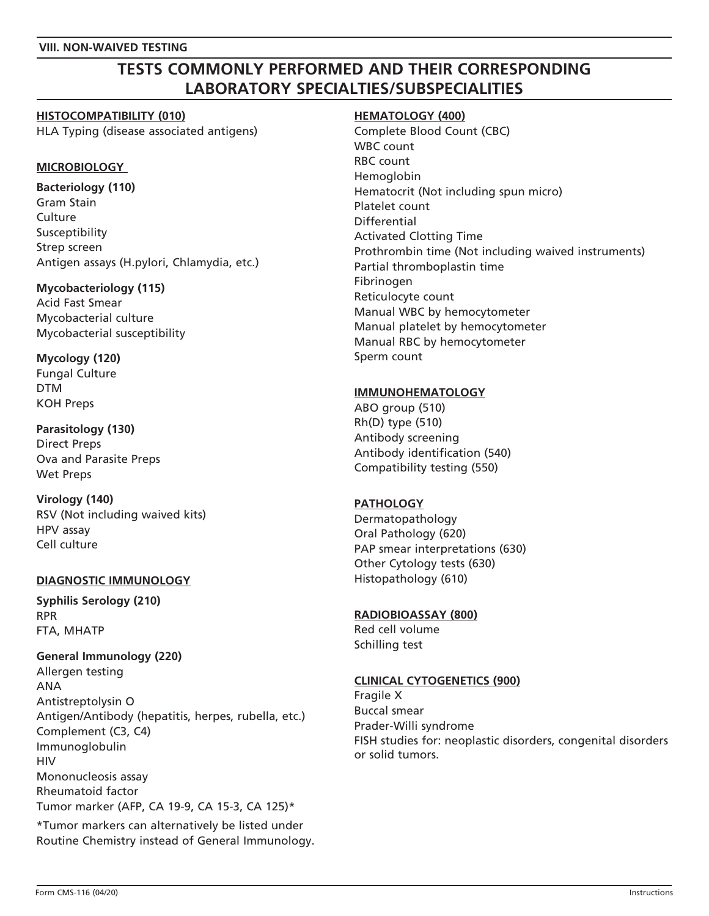### **VIII. NON-WAIVED TESTING**

# **TESTS COMMONLY PERFORMED AND THEIR CORRESPONDING LABORATORY SPECIALTIES/SUBSPECIALITIES**

### **HISTOCOMPATIBILITY (010)**

HLA Typing (disease associated antigens)

## **MICROBIOLOGY**

**Bacteriology (110)** Gram Stain **Culture** Susceptibility Strep screen Antigen assays (H.pylori, Chlamydia, etc.)

### **Mycobacteriology (115)**

Acid Fast Smear Mycobacterial culture Mycobacterial susceptibility

**Mycology (120)** Fungal Culture DTM KOH Preps

## **Parasitology (130)** Direct Preps Ova and Parasite Preps Wet Preps

**Virology (140)** RSV (Not including waived kits) HPV assay Cell culture

# **DIAGNOSTIC IMMUNOLOGY**

**Syphilis Serology (210)** RPR FTA, MHATP

## **General Immunology (220)**

Allergen testing ANA Antistreptolysin O Antigen/Antibody (hepatitis, herpes, rubella, etc.) Complement (C3, C4) Immunoglobulin **HIV** Mononucleosis assay Rheumatoid factor Tumor marker (AFP, CA 19-9, CA 15-3, CA 125)\*

\*Tumor markers can alternatively be listed under Routine Chemistry instead of General Immunology.

### **HEMATOLOGY (400)**

Complete Blood Count (CBC) WBC count RBC count Hemoglobin Hematocrit (Not including spun micro) Platelet count Differential Activated Clotting Time Prothrombin time (Not including waived instruments) Partial thromboplastin time Fibrinogen Reticulocyte count Manual WBC by hemocytometer Manual platelet by hemocytometer Manual RBC by hemocytometer Sperm count

## **IMMUNOHEMATOLOGY**

ABO group (510) Rh(D) type (510) Antibody screening Antibody identification (540) Compatibility testing (550)

## **PATHOLOGY**

Dermatopathology Oral Pathology (620) PAP smear interpretations (630) Other Cytology tests (630) Histopathology (610)

# **RADIOBIOASSAY (800)**

Red cell volume Schilling test

# **CLINICAL CYTOGENETICS (900)**

Fragile X Buccal smear Prader-Willi syndrome FISH studies for: neoplastic disorders, congenital disorders or solid tumors.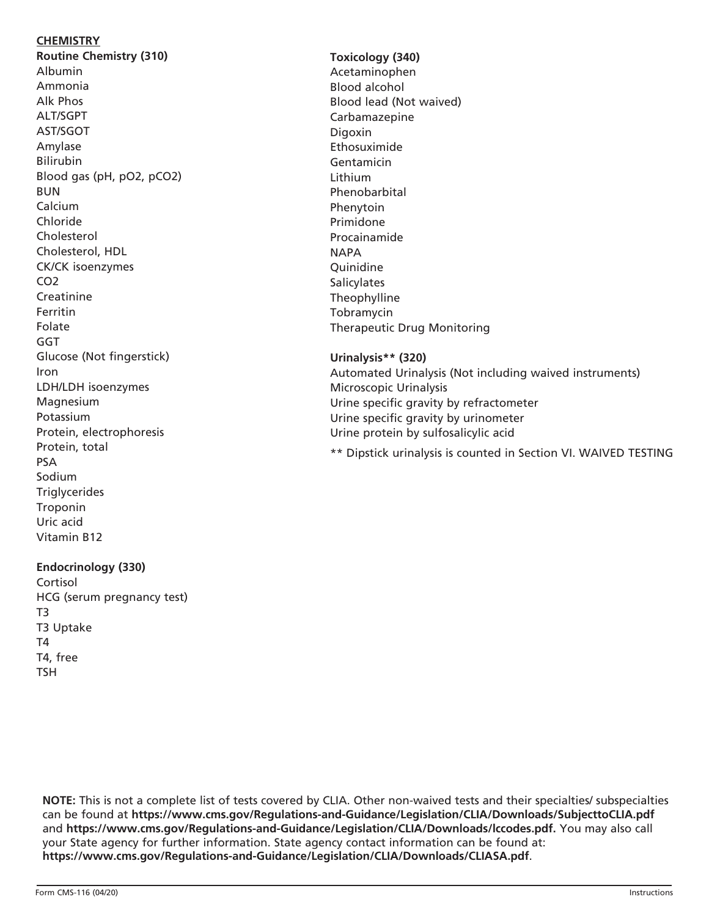# **CHEMISTRY**

**Routine Chemistry (310)** Albumin Ammonia Alk Phos ALT/SGPT AST/SGOT Amylase Bilirubin Blood gas (pH, pO2, pCO2) BUN Calcium Chloride Cholesterol Cholesterol, HDL CK/CK isoenzymes CO2 Creatinine Ferritin Folate GGT Glucose (Not fingerstick) Iron LDH/LDH isoenzymes Magnesium Potassium Protein, electrophoresis Protein, total PSA Sodium **Triglycerides Troponin** Uric acid Vitamin B12

# **Endocrinology (330)**

Cortisol HCG (serum pregnancy test) T3 T3 Uptake T4 T4, free TSH

# **Toxicology (340)** Acetaminophen Blood alcohol Blood lead (Not waived) Carbamazepine Digoxin Ethosuximide Gentamicin Lithium Phenobarbital Phenytoin Primidone Procainamide **NAPA** Quinidine **Salicylates** Theophylline Tobramycin Therapeutic Drug Monitoring

**Urinalysis\*\* (320)** Automated Urinalysis (Not including waived instruments) Microscopic Urinalysis Urine specific gravity by refractometer Urine specific gravity by urinometer Urine protein by sulfosalicylic acid

\*\* Dipstick urinalysis is counted in Section VI. WAIVED TESTING

**NOTE:** This is not a complete list of tests covered by CLIA. Other non-waived tests and their specialties/ subspecialties can be found at **[https://www.cms.gov/Regulations-and-Guidance/Legislation/CLIA/Downloads/SubjecttoCLIA.pdf](http://www.cms.gov/Regulations-and-Guidance/Legislation/CLIA/Downloads/SubjecttoCLIA.pdf)**  and **[https://www.cms.gov/Regulations-and-Guidance/Legislation/CLIA/Downloads/lccodes.pdf.](http://www.cms.gov/Regulations-and-Guidance/Legislation/CLIA/Downloads/lccodes.pdf)** You may also call your State agency for further information. State agency contact information can be found at: **[https://www.cms.gov/Regulations-and-Guidance/Legislation/CLIA/Downloads/CLIASA.pdf](http://www.cms.gov/Regulations-and-Guidance/Legislation/CLIA/Downloads/CLIASA.pdf)**.